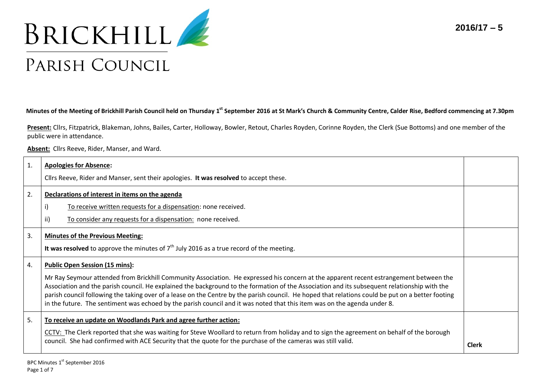**2016/17 – 5**



## **Minutes of the Meeting of Brickhill Parish Council held on Thursday 1 st September 2016 at St Mark's Church & Community Centre, Calder Rise, Bedford commencing at 7.30pm**

**Present:** Cllrs, Fitzpatrick, Blakeman, Johns, Bailes, Carter, Holloway, Bowler, Retout, Charles Royden, Corinne Royden, the Clerk (Sue Bottoms) and one member of the public were in attendance.

**Absent:** Cllrs Reeve, Rider, Manser, and Ward.

| $\mathbf{1}$ . | <b>Apologies for Absence:</b><br>Cllrs Reeve, Rider and Manser, sent their apologies. It was resolved to accept these.                                                                                                                                                                                                                                                                                                                                                                                                                                                                                           |              |  |
|----------------|------------------------------------------------------------------------------------------------------------------------------------------------------------------------------------------------------------------------------------------------------------------------------------------------------------------------------------------------------------------------------------------------------------------------------------------------------------------------------------------------------------------------------------------------------------------------------------------------------------------|--------------|--|
| 2.             | Declarations of interest in items on the agenda<br>To receive written requests for a dispensation: none received.<br>ii)<br>To consider any requests for a dispensation: none received.                                                                                                                                                                                                                                                                                                                                                                                                                          |              |  |
| 3.             | <b>Minutes of the Previous Meeting:</b><br>It was resolved to approve the minutes of $7th$ July 2016 as a true record of the meeting.                                                                                                                                                                                                                                                                                                                                                                                                                                                                            |              |  |
| 4.             | <b>Public Open Session (15 mins):</b><br>Mr Ray Seymour attended from Brickhill Community Association. He expressed his concern at the apparent recent estrangement between the<br>Association and the parish council. He explained the background to the formation of the Association and its subsequent relationship with the<br>parish council following the taking over of a lease on the Centre by the parish council. He hoped that relations could be put on a better footing<br>in the future. The sentiment was echoed by the parish council and it was noted that this item was on the agenda under 8. |              |  |
| 5.             | To receive an update on Woodlands Park and agree further action:<br>CCTV: The Clerk reported that she was waiting for Steve Woollard to return from holiday and to sign the agreement on behalf of the borough<br>council. She had confirmed with ACE Security that the quote for the purchase of the cameras was still valid.                                                                                                                                                                                                                                                                                   | <b>Clerk</b> |  |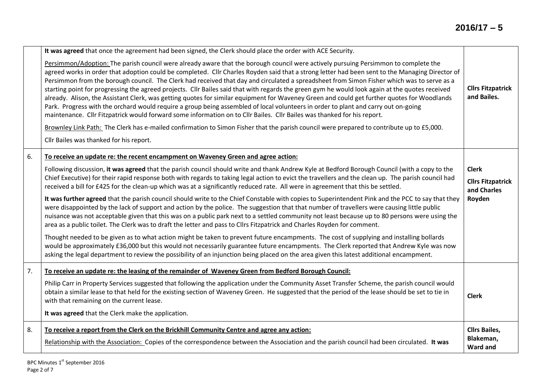|    | It was agreed that once the agreement had been signed, the Clerk should place the order with ACE Security.                                                                                                                                                                                                                                                                                                                                                                                                                                                                                                                                                                                                                                                                                                                                                                                                                                                                                              |                                                      |
|----|---------------------------------------------------------------------------------------------------------------------------------------------------------------------------------------------------------------------------------------------------------------------------------------------------------------------------------------------------------------------------------------------------------------------------------------------------------------------------------------------------------------------------------------------------------------------------------------------------------------------------------------------------------------------------------------------------------------------------------------------------------------------------------------------------------------------------------------------------------------------------------------------------------------------------------------------------------------------------------------------------------|------------------------------------------------------|
|    | Persimmon/Adoption: The parish council were already aware that the borough council were actively pursuing Persimmon to complete the<br>agreed works in order that adoption could be completed. Cllr Charles Royden said that a strong letter had been sent to the Managing Director of<br>Persimmon from the borough council. The Clerk had received that day and circulated a spreadsheet from Simon Fisher which was to serve as a<br>starting point for progressing the agreed projects. Cllr Bailes said that with regards the green gym he would look again at the quotes received<br>already. Alison, the Assistant Clerk, was getting quotes for similar equipment for Waveney Green and could get further quotes for Woodlands<br>Park. Progress with the orchard would require a group being assembled of local volunteers in order to plant and carry out on-going<br>maintenance. Cllr Fitzpatrick would forward some information on to Cllr Bailes. Cllr Bailes was thanked for his report. | <b>Cllrs Fitzpatrick</b><br>and Bailes.              |
|    | Brownley Link Path: The Clerk has e-mailed confirmation to Simon Fisher that the parish council were prepared to contribute up to £5,000.                                                                                                                                                                                                                                                                                                                                                                                                                                                                                                                                                                                                                                                                                                                                                                                                                                                               |                                                      |
|    | Cllr Bailes was thanked for his report.                                                                                                                                                                                                                                                                                                                                                                                                                                                                                                                                                                                                                                                                                                                                                                                                                                                                                                                                                                 |                                                      |
| 6. | To receive an update re: the recent encampment on Waveney Green and agree action:                                                                                                                                                                                                                                                                                                                                                                                                                                                                                                                                                                                                                                                                                                                                                                                                                                                                                                                       |                                                      |
|    | Following discussion, it was agreed that the parish council should write and thank Andrew Kyle at Bedford Borough Council (with a copy to the                                                                                                                                                                                                                                                                                                                                                                                                                                                                                                                                                                                                                                                                                                                                                                                                                                                           | <b>Clerk</b>                                         |
|    | Chief Executive) for their rapid response both with regards to taking legal action to evict the travellers and the clean up. The parish council had<br>received a bill for £425 for the clean-up which was at a significantly reduced rate. All were in agreement that this be settled.                                                                                                                                                                                                                                                                                                                                                                                                                                                                                                                                                                                                                                                                                                                 | <b>Cllrs Fitzpatrick</b><br>and Charles              |
|    | It was further agreed that the parish council should write to the Chief Constable with copies to Superintendent Pink and the PCC to say that they<br>were disappointed by the lack of support and action by the police. The suggestion that that number of travellers were causing little public<br>nuisance was not acceptable given that this was on a public park next to a settled community not least because up to 80 persons were using the<br>area as a public toilet. The Clerk was to draft the letter and pass to ClIrs Fitzpatrick and Charles Royden for comment.                                                                                                                                                                                                                                                                                                                                                                                                                          | Royden                                               |
|    | Thought needed to be given as to what action might be taken to prevent future encampments. The cost of supplying and installing bollards<br>would be approximately £36,000 but this would not necessarily guarantee future encampments. The Clerk reported that Andrew Kyle was now<br>asking the legal department to review the possibility of an injunction being placed on the area given this latest additional encampment.                                                                                                                                                                                                                                                                                                                                                                                                                                                                                                                                                                         |                                                      |
| 7. | To receive an update re: the leasing of the remainder of Waveney Green from Bedford Borough Council:                                                                                                                                                                                                                                                                                                                                                                                                                                                                                                                                                                                                                                                                                                                                                                                                                                                                                                    |                                                      |
|    | Philip Carr in Property Services suggested that following the application under the Community Asset Transfer Scheme, the parish council would<br>obtain a similar lease to that held for the existing section of Waveney Green. He suggested that the period of the lease should be set to tie in<br>with that remaining on the current lease.                                                                                                                                                                                                                                                                                                                                                                                                                                                                                                                                                                                                                                                          | <b>Clerk</b>                                         |
|    | It was agreed that the Clerk make the application.                                                                                                                                                                                                                                                                                                                                                                                                                                                                                                                                                                                                                                                                                                                                                                                                                                                                                                                                                      |                                                      |
| 8. | To receive a report from the Clerk on the Brickhill Community Centre and agree any action:<br>Relationship with the Association: Copies of the correspondence between the Association and the parish council had been circulated. It was                                                                                                                                                                                                                                                                                                                                                                                                                                                                                                                                                                                                                                                                                                                                                                | <b>Cllrs Bailes,</b><br>Blakeman,<br><b>Ward and</b> |
|    |                                                                                                                                                                                                                                                                                                                                                                                                                                                                                                                                                                                                                                                                                                                                                                                                                                                                                                                                                                                                         |                                                      |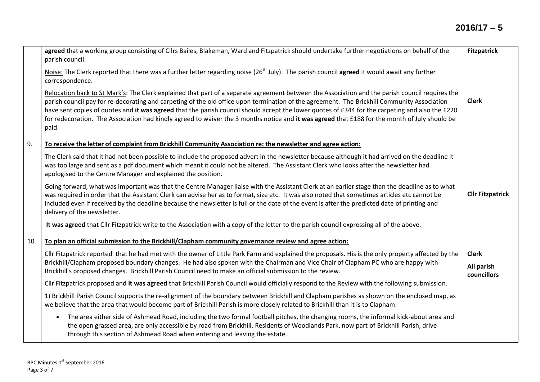|     | agreed that a working group consisting of Cllrs Bailes, Blakeman, Ward and Fitzpatrick should undertake further negotiations on behalf of the<br>parish council.                                                                                                                                                                                                                                                                                                                                                                                                                                            | <b>Fitzpatrick</b>        |
|-----|-------------------------------------------------------------------------------------------------------------------------------------------------------------------------------------------------------------------------------------------------------------------------------------------------------------------------------------------------------------------------------------------------------------------------------------------------------------------------------------------------------------------------------------------------------------------------------------------------------------|---------------------------|
|     | Noise: The Clerk reported that there was a further letter regarding noise (26 <sup>th</sup> July). The parish council agreed it would await any further<br>correspondence.                                                                                                                                                                                                                                                                                                                                                                                                                                  |                           |
|     | Relocation back to St Mark's: The Clerk explained that part of a separate agreement between the Association and the parish council requires the<br>parish council pay for re-decorating and carpeting of the old office upon termination of the agreement. The Brickhill Community Association<br>have sent copies of quotes and it was agreed that the parish council should accept the lower quotes of £344 for the carpeting and also the £220<br>for redecoration. The Association had kindly agreed to waiver the 3 months notice and it was agreed that £188 for the month of July should be<br>paid. | <b>Clerk</b>              |
| 9.  | To receive the letter of complaint from Brickhill Community Association re: the newsletter and agree action:                                                                                                                                                                                                                                                                                                                                                                                                                                                                                                |                           |
|     | The Clerk said that it had not been possible to include the proposed advert in the newsletter because although it had arrived on the deadline it<br>was too large and sent as a pdf document which meant it could not be altered. The Assistant Clerk who looks after the newsletter had<br>apologised to the Centre Manager and explained the position.                                                                                                                                                                                                                                                    |                           |
|     | Going forward, what was important was that the Centre Manager liaise with the Assistant Clerk at an earlier stage than the deadline as to what<br>was required in order that the Assistant Clerk can advise her as to format, size etc. It was also noted that sometimes articles etc cannot be<br>included even if received by the deadline because the newsletter is full or the date of the event is after the predicted date of printing and<br>delivery of the newsletter.                                                                                                                             | <b>Cllr Fitzpatrick</b>   |
|     | It was agreed that Cllr Fitzpatrick write to the Association with a copy of the letter to the parish council expressing all of the above.                                                                                                                                                                                                                                                                                                                                                                                                                                                                   |                           |
| 10. | To plan an official submission to the Brickhill/Clapham community governance review and agree action:                                                                                                                                                                                                                                                                                                                                                                                                                                                                                                       |                           |
|     | Cllr Fitzpatrick reported that he had met with the owner of Little Park Farm and explained the proposals. His is the only property affected by the                                                                                                                                                                                                                                                                                                                                                                                                                                                          | <b>Clerk</b>              |
|     | Brickhill/Clapham proposed boundary changes. He had also spoken with the Chairman and Vice Chair of Clapham PC who are happy with<br>Brickhill's proposed changes. Brickhill Parish Council need to make an official submission to the review.                                                                                                                                                                                                                                                                                                                                                              | All parish<br>councillors |
|     | Cllr Fitzpatrick proposed and it was agreed that Brickhill Parish Council would officially respond to the Review with the following submission.                                                                                                                                                                                                                                                                                                                                                                                                                                                             |                           |
|     | 1) Brickhill Parish Council supports the re-alignment of the boundary between Brickhill and Clapham parishes as shown on the enclosed map, as<br>we believe that the area that would become part of Brickhill Parish is more closely related to Brickhill than it is to Clapham:                                                                                                                                                                                                                                                                                                                            |                           |
|     | The area either side of Ashmead Road, including the two formal football pitches, the changing rooms, the informal kick-about area and<br>$\bullet$<br>the open grassed area, are only accessible by road from Brickhill. Residents of Woodlands Park, now part of Brickhill Parish, drive<br>through this section of Ashmead Road when entering and leaving the estate.                                                                                                                                                                                                                                     |                           |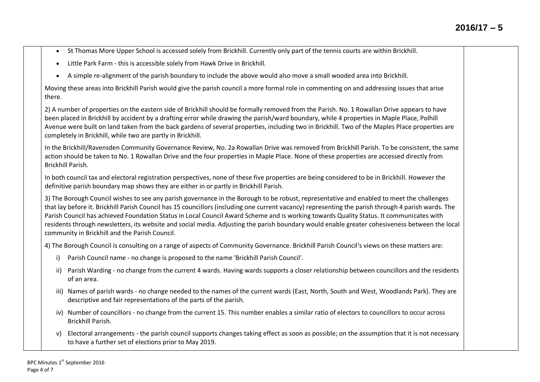- St Thomas More Upper School is accessed solely from Brickhill. Currently only part of the tennis courts are within Brickhill.
- Little Park Farm this is accessible solely from Hawk Drive in Brickhill.
- A simple re-alignment of the parish boundary to include the above would also move a small wooded area into Brickhill.

Moving these areas into Brickhill Parish would give the parish council a more formal role in commenting on and addressing issues that arise there.

2) A number of properties on the eastern side of Brickhill should be formally removed from the Parish. No. 1 Rowallan Drive appears to have been placed in Brickhill by accident by a drafting error while drawing the parish/ward boundary, while 4 properties in Maple Place, Polhill Avenue were built on land taken from the back gardens of several properties, including two in Brickhill. Two of the Maples Place properties are completely in Brickhill, while two are partly in Brickhill.

In the Brickhill/Ravensden Community Governance Review, No. 2a Rowallan Drive was removed from Brickhill Parish. To be consistent, the same action should be taken to No. 1 Rowallan Drive and the four properties in Maple Place. None of these properties are accessed directly from Brickhill Parish.

In both council tax and electoral registration perspectives, none of these five properties are being considered to be in Brickhill. However the definitive parish boundary map shows they are either in or partly in Brickhill Parish.

3) The Borough Council wishes to see any parish governance in the Borough to be robust, representative and enabled to meet the challenges that lay before it. Brickhill Parish Council has 15 councillors (including one current vacancy) representing the parish through 4 parish wards. The Parish Council has achieved Foundation Status in Local Council Award Scheme and is working towards Quality Status. It communicates with residents through newsletters, its website and social media. Adjusting the parish boundary would enable greater cohesiveness between the local community in Brickhill and the Parish Council.

4) The Borough Council is consulting on a range of aspects of Community Governance. Brickhill Parish Council's views on these matters are:

- i) Parish Council name no change is proposed to the name 'Brickhill Parish Council'.
- ii) Parish Warding no change from the current 4 wards. Having wards supports a closer relationship between councillors and the residents of an area.
- iii) Names of parish wards no change needed to the names of the current wards (East, North, South and West, Woodlands Park). They are descriptive and fair representations of the parts of the parish.
- iv) Number of councillors no change from the current 15. This number enables a similar ratio of electors to councillors to occur across Brickhill Parish.
- v) Electoral arrangements the parish council supports changes taking effect as soon as possible; on the assumption that it is not necessary to have a further set of elections prior to May 2019.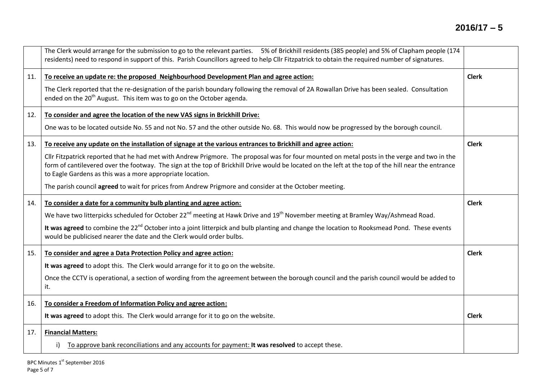|     | The Clerk would arrange for the submission to go to the relevant parties. 5% of Brickhill residents (385 people) and 5% of Clapham people (174<br>residents) need to respond in support of this. Parish Councillors agreed to help Cllr Fitzpatrick to obtain the required number of signatures.                                                                 |              |
|-----|------------------------------------------------------------------------------------------------------------------------------------------------------------------------------------------------------------------------------------------------------------------------------------------------------------------------------------------------------------------|--------------|
| 11. | To receive an update re: the proposed Neighbourhood Development Plan and agree action:                                                                                                                                                                                                                                                                           | <b>Clerk</b> |
|     | The Clerk reported that the re-designation of the parish boundary following the removal of 2A Rowallan Drive has been sealed. Consultation<br>ended on the 20 <sup>th</sup> August. This item was to go on the October agenda.                                                                                                                                   |              |
| 12. | To consider and agree the location of the new VAS signs in Brickhill Drive:                                                                                                                                                                                                                                                                                      |              |
|     | One was to be located outside No. 55 and not No. 57 and the other outside No. 68. This would now be progressed by the borough council.                                                                                                                                                                                                                           |              |
| 13. | To receive any update on the installation of signage at the various entrances to Brickhill and agree action:                                                                                                                                                                                                                                                     | <b>Clerk</b> |
|     | Cllr Fitzpatrick reported that he had met with Andrew Prigmore. The proposal was for four mounted on metal posts in the verge and two in the<br>form of cantilevered over the footway. The sign at the top of Brickhill Drive would be located on the left at the top of the hill near the entrance<br>to Eagle Gardens as this was a more appropriate location. |              |
|     | The parish council agreed to wait for prices from Andrew Prigmore and consider at the October meeting.                                                                                                                                                                                                                                                           |              |
| 14. | To consider a date for a community bulb planting and agree action:                                                                                                                                                                                                                                                                                               | <b>Clerk</b> |
|     | We have two litterpicks scheduled for October 22 <sup>nd</sup> meeting at Hawk Drive and 19 <sup>th</sup> November meeting at Bramley Way/Ashmead Road.                                                                                                                                                                                                          |              |
|     | It was agreed to combine the 22 <sup>nd</sup> October into a joint litterpick and bulb planting and change the location to Rooksmead Pond. These events<br>would be publicised nearer the date and the Clerk would order bulbs.                                                                                                                                  |              |
| 15. | To consider and agree a Data Protection Policy and agree action:                                                                                                                                                                                                                                                                                                 | <b>Clerk</b> |
|     | It was agreed to adopt this. The Clerk would arrange for it to go on the website.                                                                                                                                                                                                                                                                                |              |
|     | Once the CCTV is operational, a section of wording from the agreement between the borough council and the parish council would be added to<br>it.                                                                                                                                                                                                                |              |
| 16. | To consider a Freedom of Information Policy and agree action:                                                                                                                                                                                                                                                                                                    |              |
|     | It was agreed to adopt this. The Clerk would arrange for it to go on the website.                                                                                                                                                                                                                                                                                | <b>Clerk</b> |
| 17. | <b>Financial Matters:</b>                                                                                                                                                                                                                                                                                                                                        |              |
|     | To approve bank reconciliations and any accounts for payment: It was resolved to accept these.<br>i)                                                                                                                                                                                                                                                             |              |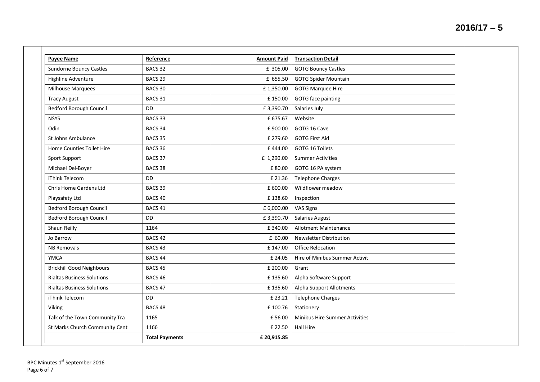| <b>Payee Name</b>                 | Reference             | <b>Amount Paid</b> | <b>Transaction Detail</b>             |
|-----------------------------------|-----------------------|--------------------|---------------------------------------|
| <b>Sundorne Bouncy Castles</b>    | BACS <sub>32</sub>    | £ 305.00           | <b>GOTG Bouncy Castles</b>            |
| Highline Adventure                | BACS <sub>29</sub>    | £ 655.50           | <b>GOTG Spider Mountain</b>           |
| Milhouse Marquees                 | BACS 30               | £1,350.00          | <b>GOTG Marquee Hire</b>              |
| <b>Tracy August</b>               | BACS 31               | £150.00            | GOTG face painting                    |
| <b>Bedford Borough Council</b>    | <b>DD</b>             | £3,390.70          | Salaries July                         |
| <b>NSYS</b>                       | BACS <sub>33</sub>    | £ 675.67           | Website                               |
| Odin                              | BACS <sub>34</sub>    | £900.00            | GOTG 16 Cave                          |
| St Johns Ambulance                | BACS 35               | £ 279.60           | <b>GOTG First Aid</b>                 |
| Home Counties Toilet Hire         | BACS 36               | £444.00            | GOTG 16 Toilets                       |
| Sport Support                     | BACS 37               | £ 1,290.00         | <b>Summer Activities</b>              |
| Michael Del-Boyer                 | BACS 38               | £80.00             | GOTG 16 PA system                     |
| iThink Telecom                    | <b>DD</b>             | £ 21.36            | <b>Telephone Charges</b>              |
| Chris Horne Gardens Ltd           | BACS 39               | £ 600.00           | Wildflower meadow                     |
| Playsafety Ltd                    | BACS <sub>40</sub>    | £138.60            | Inspection                            |
| <b>Bedford Borough Council</b>    | BACS 41               | £ 6,000.00         | VAS Signs                             |
| <b>Bedford Borough Council</b>    | <b>DD</b>             | £3,390.70          | <b>Salaries August</b>                |
| Shaun Reilly                      | 1164                  | £340.00            | Allotment Maintenance                 |
| Jo Barrow                         | BACS <sub>42</sub>    | £ 60.00            | Newsletter Distribution               |
| <b>NB Removals</b>                | BACS <sub>43</sub>    | £147.00            | <b>Office Relocation</b>              |
| <b>YMCA</b>                       | BACS 44               | £ 24.05            | Hire of Minibus Summer Activit        |
| <b>Brickhill Good Neighbours</b>  | BACS 45               | £ 200.00           | Grant                                 |
| <b>Rialtas Business Solutions</b> | BACS 46               | £135.60            | Alpha Software Support                |
| <b>Rialtas Business Solutions</b> | BACS <sub>47</sub>    | £135.60            | Alpha Support Allotments              |
| iThink Telecom                    | <b>DD</b>             | £ 23.21            | <b>Telephone Charges</b>              |
| Viking                            | BACS <sub>48</sub>    | £100.76            | Stationery                            |
| Talk of the Town Community Tra    | 1165                  | £56.00             | <b>Minibus Hire Summer Activities</b> |
| St Marks Church Community Cent    | 1166                  | £ 22.50            | <b>Hall Hire</b>                      |
|                                   | <b>Total Payments</b> | £20,915.85         |                                       |